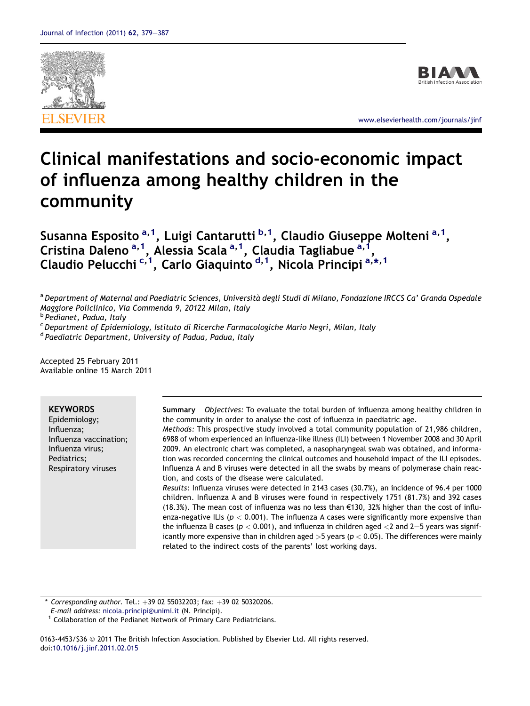



[www.elsevierhealth.com/journals/jinf](http://www.elsevierhealth.com/journals/jinf)

# Clinical manifestations and socio-economic impact of influenza among healthy children in the community

Susanna Esposito <sup>a, 1</sup>, Luigi Cantarutti <sup>b, 1</sup>, Claudio Giuseppe Molteni <sup>a, 1</sup>, Cristina Daleno<sup>a, 1</sup>, Alessia Scala<sup>a, 1</sup>, Claudia Tagliabue<sup>a, 1</sup>, Claudio Pelucchi <sup>c,1</sup>, Carlo Giaquinto <sup>d,1</sup>, Nicola Principi <sup>a,\*,1</sup>

<sup>a</sup> Department of Maternal and Paediatric Sciences, Università degli Studi di Milano, Fondazione IRCCS Ca' Granda Ospedale Maggiore Policlinico, Via Commenda 9, 20122 Milan, Italy

**b** Pedianet, Padua, Italy

 $\epsilon$  Department of Epidemiology, Istituto di Ricerche Farmacologiche Mario Negri, Milan, Italy

<sup>d</sup> Paediatric Department, University of Padua, Padua, Italy

Accepted 25 February 2011 Available online 15 March 2011

## **KEYWORDS**

Epidemiology; Influenza; Influenza vaccination; Influenza virus; Pediatrics; Respiratory viruses

Summary Objectives: To evaluate the total burden of influenza among healthy children in the community in order to analyse the cost of influenza in paediatric age.

Methods: This prospective study involved a total community population of 21,986 children, 6988 of whom experienced an influenza-like illness (ILI) between 1 November 2008 and 30 April 2009. An electronic chart was completed, a nasopharyngeal swab was obtained, and information was recorded concerning the clinical outcomes and household impact of the ILI episodes. Influenza A and B viruses were detected in all the swabs by means of polymerase chain reaction, and costs of the disease were calculated.

Results: Influenza viruses were detected in 2143 cases (30.7%), an incidence of 96.4 per 1000 children. Influenza A and B viruses were found in respectively 1751 (81.7%) and 392 cases  $(18.3\%)$ . The mean cost of influenza was no less than  $\epsilon$ 130, 32% higher than the cost of influenza-negative ILIs ( $p < 0.001$ ). The influenza A cases were significantly more expensive than the influenza B cases ( $p < 0.001$ ), and influenza in children aged  $<$ 2 and 2-5 years was significantly more expensive than in children aged  $>5$  years ( $p < 0.05$ ). The differences were mainly related to the indirect costs of the parents' lost working days.

Corresponding author. Tel.: +39 02 55032203; fax: +39 02 50320206.<br>E-mail address: nicola.principi@unimi.it (N. Principi).

 $1$  Collaboration of the Pedianet Network of Primary Care Pediatricians.

0163-4453/\$36 @ 2011 The British Infection Association. Published by Elsevier Ltd. All rights reserved. doi[:10.1016/j.jinf.2011.02.015](http://dx.doi.org/10.1016/j.jinf.2011.02.015)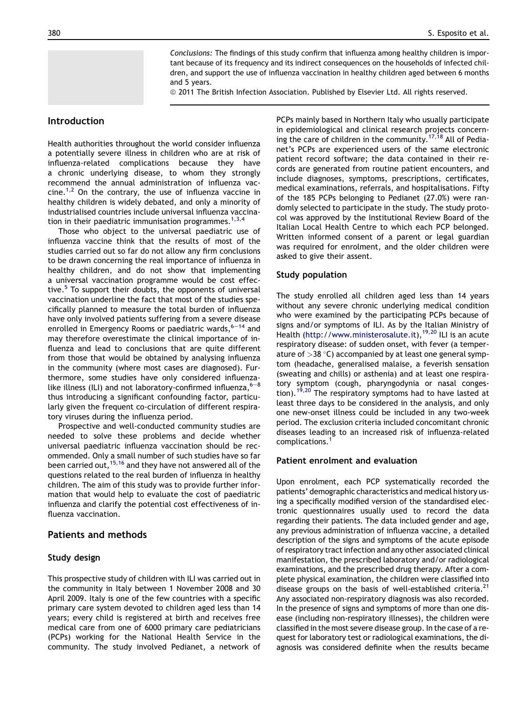Conclusions: The findings of this study confirm that influenza among healthy children is important because of its frequency and its indirect consequences on the households of infected children, and support the use of influenza vaccination in healthy children aged between 6 months and 5 years.

ª 2011 The British Infection Association. Published by Elsevier Ltd. All rights reserved.

# Introduction

Health authorities throughout the world consider influenza a potentially severe illness in children who are at risk of influenza-related complications because they have a chronic underlying disease, to whom they strongly recommend the annual administration of influenza vac- $cine.<sup>1,2</sup>$  $cine.<sup>1,2</sup>$  $cine.<sup>1,2</sup>$  On the contrary, the use of influenza vaccine in healthy children is widely debated, and only a minority of industrialised countries include universal influenza vaccina-tion in their paediatric immunisation programmes.<sup>[1,3,4](#page-7-0)</sup>

Those who object to the universal paediatric use of influenza vaccine think that the results of most of the studies carried out so far do not allow any firm conclusions to be drawn concerning the real importance of influenza in healthy children, and do not show that implementing a universal vaccination programme would be cost effective. $5$  To support their doubts, the opponents of universal vaccination underline the fact that most of the studies specifically planned to measure the total burden of influenza have only involved patients suffering from a severe disease enrolled in Emergency Rooms or paediatric wards,  $6-14$  $6-14$  $6-14$  and may therefore overestimate the clinical importance of influenza and lead to conclusions that are quite different from those that would be obtained by analysing influenza in the community (where most cases are diagnosed). Furthermore, some studies have only considered influenzalike illness (ILI) and not laboratory-confirmed influenza,  $6-8$  $6-8$  $6-8$ thus introducing a significant confounding factor, particularly given the frequent co-circulation of different respiratory viruses during the influenza period.

Prospective and well-conducted community studies are needed to solve these problems and decide whether universal paediatric influenza vaccination should be recommended. Only a small number of such studies have so far been carried out,[15,16](#page-7-0) and they have not answered all of the questions related to the real burden of influenza in healthy children. The aim of this study was to provide further information that would help to evaluate the cost of paediatric influenza and clarify the potential cost effectiveness of influenza vaccination.

# Patients and methods

## Study design

This prospective study of children with ILI was carried out in the community in Italy between 1 November 2008 and 30 April 2009. Italy is one of the few countries with a specific primary care system devoted to children aged less than 14 years; every child is registered at birth and receives free medical care from one of 6000 primary care pediatricians (PCPs) working for the National Health Service in the community. The study involved Pedianet, a network of

PCPs mainly based in Northern Italy who usually participate in epidemiological and clinical research projects concern-ing the care of children in the community.<sup>[17,18](#page-7-0)</sup> All of Pedianet's PCPs are experienced users of the same electronic patient record software; the data contained in their records are generated from routine patient encounters, and include diagnoses, symptoms, prescriptions, certificates, medical examinations, referrals, and hospitalisations. Fifty of the 185 PCPs belonging to Pedianet (27.0%) were randomly selected to participate in the study. The study protocol was approved by the Institutional Review Board of the Italian Local Health Centre to which each PCP belonged. Written informed consent of a parent or legal guardian was required for enrolment, and the older children were asked to give their assent.

## Study population

The study enrolled all children aged less than 14 years without any severe chronic underlying medical condition who were examined by the participating PCPs because of signs and/or symptoms of ILI. As by the Italian Ministry of Health ([http://www.ministerosalute.it\)](http://www.ministerosalute.it),<sup>[19,20](#page-7-0)</sup> ILI is an acute respiratory disease: of sudden onset, with fever (a temperature of  $>$ 38 °C) accompanied by at least one general symptom (headache, generalised malaise, a feverish sensation (sweating and chills) or asthenia) and at least one respiratory symptom (cough, pharyngodynia or nasal conges-tion).<sup>[19,20](#page-7-0)</sup> The respiratory symptoms had to have lasted at least three days to be considered in the analysis, and only one new-onset illness could be included in any two-week period. The exclusion criteria included concomitant chronic diseases leading to an increased risk of influenza-related complications.[1](#page-7-0)

# Patient enrolment and evaluation

Upon enrolment, each PCP systematically recorded the patients' demographic characteristics and medical history using a specifically modified version of the standardised electronic questionnaires usually used to record the data regarding their patients. The data included gender and age, any previous administration of influenza vaccine, a detailed description of the signs and symptoms of the acute episode of respiratory tract infection and any other associated clinical manifestation, the prescribed laboratory and/or radiological examinations, and the prescribed drug therapy. After a complete physical examination, the children were classified into disease groups on the basis of well-established criteria.<sup>21</sup> Any associated non-respiratory diagnosis was also recorded. In the presence of signs and symptoms of more than one disease (including non-respiratory illnesses), the children were classified in the most severe disease group. In the case of a request for laboratory test or radiological examinations, the diagnosis was considered definite when the results became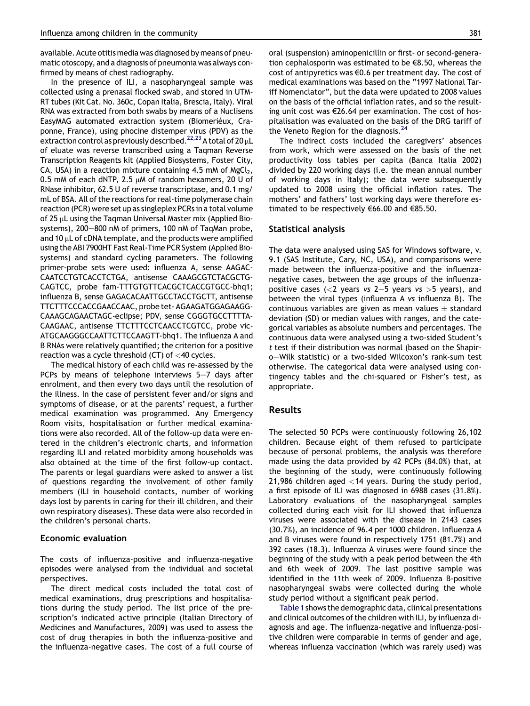available. Acute otitis media was diagnosed by means of pneumatic otoscopy, and a diagnosis of pneumonia was always confirmed by means of chest radiography.

In the presence of ILI, a nasopharyngeal sample was collected using a prenasal flocked swab, and stored in UTM-RT tubes (Kit Cat. No. 360c, Copan Italia, Brescia, Italy). Viral RNA was extracted from both swabs by means of a Nuclisens EasyMAG automated extraction system (Biomeriéux, Craponne, France), using phocine distemper virus (PDV) as the extraction control as previously described.<sup>22,23</sup> A total of 20 µL of eluate was reverse transcribed using a Taqman Reverse Transcription Reagents kit (Applied Biosystems, Foster City, CA, USA) in a reaction mixture containing 4.5 mM of  $MgCl<sub>2</sub>$ , 0.5 mM of each dNTP, 2.5  $\mu$ M of random hexamers, 20 U of RNase inhibitor, 62.5 U of reverse transcriptase, and 0.1 mg/ mL of BSA. All of the reactions for real-time polymerase chain reaction (PCR) were set up as singleplex PCRs in a total volume of 25 µL using the Tagman Universal Master mix (Applied Biosystems), 200-800 nM of primers, 100 nM of TaqMan probe, and 10  $\mu$ L of cDNA template, and the products were amplified using the ABI 7900HT Fast Real-Time PCR System (Applied Biosystems) and standard cycling parameters. The following primer-probe sets were used: influenza A, sense AAGAC-CAATCCTGTCACCTCTGA, antisense CAAAGCGTCTACGCTG-CAGTCC, probe fam-TTTGTGTTCACGCTCACCGTGCC-bhq1; influenza B, sense GAGACACAATTGCCTACCTGCTT, antisense TTCTTTCCCACCGAACCAAC, probe tet- AGAAGATGGAGAAGG-CAAAGCAGAACTAGC-eclipse; PDV, sense CGGGTGCCTTTTA-CAAGAAC, antisense TTCTTTCCTCAACCTCGTCC, probe vic-ATGCAAGGGCCAATTCTTCCAAGTT-bhq1. The influenza A and B RNAs were relatively quantified; the criterion for a positive reaction was a cycle threshold (CT) of <40 cycles.

The medical history of each child was re-assessed by the PCPs by means of telephone interviews  $5-7$  days after enrolment, and then every two days until the resolution of the illness. In the case of persistent fever and/or signs and symptoms of disease, or at the parents' request, a further medical examination was programmed. Any Emergency Room visits, hospitalisation or further medical examinations were also recorded. All of the follow-up data were entered in the children's electronic charts, and information regarding ILI and related morbidity among households was also obtained at the time of the first follow-up contact. The parents or legal guardians were asked to answer a list of questions regarding the involvement of other family members (ILI in household contacts, number of working days lost by parents in caring for their ill children, and their own respiratory diseases). These data were also recorded in the children's personal charts.

#### Economic evaluation

The costs of influenza-positive and influenza-negative episodes were analysed from the individual and societal perspectives.

The direct medical costs included the total cost of medical examinations, drug prescriptions and hospitalisations during the study period. The list price of the prescription's indicated active principle (Italian Directory of Medicines and Manufactures, 2009) was used to assess the cost of drug therapies in both the influenza-positive and the influenza-negative cases. The cost of a full course of oral (suspension) aminopenicillin or first- or second-generation cephalosporin was estimated to be €8.50, whereas the cost of antipyretics was €0.6 per treatment day. The cost of medical examinations was based on the "1997 National Tariff Nomenclator", but the data were updated to 2008 values on the basis of the official inflation rates, and so the resulting unit cost was €26.64 per examination. The cost of hospitalisation was evaluated on the basis of the DRG tariff of the Veneto Region for the diagnosis.<sup>[24](#page-7-0)</sup>

The indirect costs included the caregivers' absences from work, which were assessed on the basis of the net productivity loss tables per capita (Banca Italia 2002) divided by 220 working days (i.e. the mean annual number of working days in Italy); the data were subsequently updated to 2008 using the official inflation rates. The mothers' and fathers' lost working days were therefore estimated to be respectively €66.00 and €85.50.

#### Statistical analysis

The data were analysed using SAS for Windows software, v. 9.1 (SAS Institute, Cary, NC, USA), and comparisons were made between the influenza-positive and the influenzanegative cases, between the age groups of the influenzapositive cases (<2 years vs 2-5 years vs  $>5$  years), and between the viral types (influenza A vs influenza B). The continuous variables are given as mean values  $\pm$  standard deviation (SD) or median values with ranges, and the categorical variables as absolute numbers and percentages. The continuous data were analysed using a two-sided Student's t test if their distribution was normal (based on the Shapiro-Wilk statistic) or a two-sided Wilcoxon's rank-sum test otherwise. The categorical data were analysed using contingency tables and the chi-squared or Fisher's test, as appropriate.

## Results

The selected 50 PCPs were continuously following 26,102 children. Because eight of them refused to participate because of personal problems, the analysis was therefore made using the data provided by 42 PCPs (84.0%) that, at the beginning of the study, were continuously following 21,986 children aged <14 years. During the study period, a first episode of ILI was diagnosed in 6988 cases (31.8%). Laboratory evaluations of the nasopharyngeal samples collected during each visit for ILI showed that influenza viruses were associated with the disease in 2143 cases (30.7%), an incidence of 96.4 per 1000 children. Influenza A and B viruses were found in respectively 1751 (81.7%) and 392 cases (18.3). Influenza A viruses were found since the beginning of the study with a peak period between the 4th and 6th week of 2009. The last positive sample was identified in the 11th week of 2009. Influenza B-positive nasopharyngeal swabs were collected during the whole study period without a significant peak period.

[Table 1](#page-3-0) shows the demographic data, clinical presentations and clinical outcomes of the children with ILI, by influenza diagnosis and age. The influenza-negative and influenza-positive children were comparable in terms of gender and age, whereas influenza vaccination (which was rarely used) was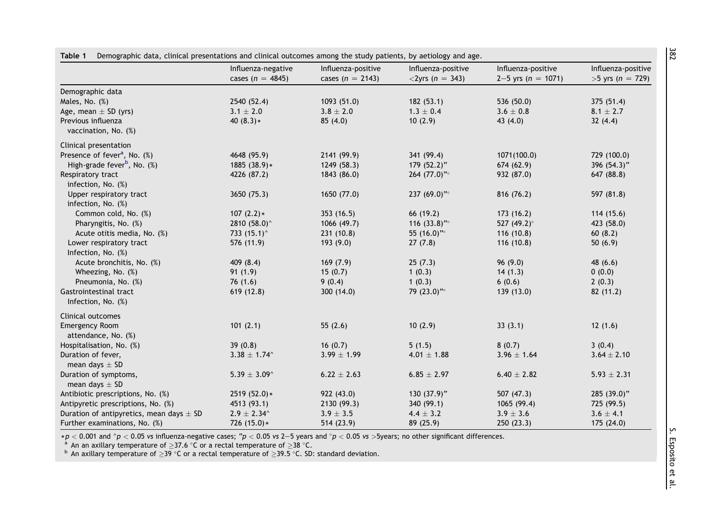<span id="page-3-0"></span>

|                                                | Influenza-negative<br>cases ( $n = 4845$ ) | Influenza-positive<br>cases ( $n = 2143$ ) | Influenza-positive<br>$<$ 2yrs (n = 343) | Influenza-positive<br>$2-5$ yrs (n = 1071) | Influenza-positive<br>$>5$ yrs (n = 729) |
|------------------------------------------------|--------------------------------------------|--------------------------------------------|------------------------------------------|--------------------------------------------|------------------------------------------|
|                                                |                                            |                                            |                                          |                                            |                                          |
| Demographic data                               |                                            |                                            |                                          |                                            |                                          |
| Males, No. (%)                                 | 2540 (52.4)                                | 1093 (51.0)<br>$3.8 \pm 2.0$               | 182(53.1)<br>$1.3 \pm 0.4$               | 536 (50.0)<br>$3.6 \pm 0.8$                | 375 (51.4)<br>$8.1 \pm 2.7$              |
| Age, mean $\pm$ SD (yrs)<br>Previous influenza | $3.1 \pm 2.0$                              |                                            |                                          |                                            |                                          |
| vaccination, No. (%)                           | 40 $(8.3)*$                                | 85(4.0)                                    | 10(2.9)                                  | 43 $(4.0)$                                 | 32(4.4)                                  |
| Clinical presentation                          |                                            |                                            |                                          |                                            |                                          |
| Presence of fever <sup>a</sup> , No. (%)       | 4648 (95.9)                                | 2141 (99.9)                                | 341 (99.4)                               | 1071(100.0)                                | 729 (100.0)                              |
| High-grade fever <sup>b</sup> , No. $(\%)$     | $1885(38.9)*$                              | 1249 (58.3)                                | 179(52.2)''                              | 674(62.9)                                  | 396 $(54.3)$ "                           |
| Respiratory tract                              | 4226 (87.2)                                | 1843 (86.0)                                | 264 (77.0)"                              | 932 (87.0)                                 | 647 (88.8)                               |
| infection, No. (%)                             |                                            |                                            |                                          |                                            |                                          |
| Upper respiratory tract                        | 3650 (75.3)                                | 1650 (77.0)                                | 237 (69.0)"                              | 816 (76.2)                                 | 597 (81.8)                               |
| infection, No. (%)                             |                                            |                                            |                                          |                                            |                                          |
| Common cold, No. (%)                           | $107(2.2)*$                                | 353(16.5)                                  | 66 (19.2)                                | 173(16.2)                                  | 114(15.6)                                |
| Pharyngitis, No. (%)                           | 2810 (58.0)^                               | 1066 (49.7)                                | 116 $(33.8)$ "                           | 527 $(49.2)^\circ$                         | 423 (58.0)                               |
| Acute otitis media, No. (%)                    | 733 $(15.1)^{\wedge}$                      | 231(10.8)                                  | 55 $(16.0)^{n}$                          | 116(10.8)                                  | 60(8.2)                                  |
| Lower respiratory tract                        | 576 (11.9)                                 | 193(9.0)                                   | 27(7.8)                                  | 116(10.8)                                  | 50 $(6.9)$                               |
| Infection, No. (%)                             |                                            |                                            |                                          |                                            |                                          |
| Acute bronchitis, No. (%)                      | 409(8.4)                                   | 169(7.9)                                   | 25(7.3)                                  | 96(9.0)                                    | 48(6.6)                                  |
| Wheezing, No. (%)                              | 91(1.9)                                    | 15(0.7)                                    | 1(0.3)                                   | 14(1.3)                                    | 0(0.0)                                   |
| Pneumonia, No. (%)                             | 76(1.6)                                    | 9(0.4)                                     | 1(0.3)                                   | 6(0.6)                                     | 2(0.3)                                   |
| Gastrointestinal tract                         | 619(12.8)                                  | 300(14.0)                                  | 79 $(23.0)$ "                            | 139 (13.0)                                 | 82 (11.2)                                |
| Infection, No. (%)                             |                                            |                                            |                                          |                                            |                                          |
| <b>Clinical outcomes</b>                       |                                            |                                            |                                          |                                            |                                          |
| Emergency Room                                 | 101(2.1)                                   | 55 $(2.6)$                                 | 10(2.9)                                  | 33(3.1)                                    | 12(1.6)                                  |
| attendance, No. (%)                            |                                            |                                            |                                          |                                            |                                          |
| Hospitalisation, No. (%)                       | 39(0.8)                                    | 16(0.7)                                    | 5(1.5)                                   | 8(0.7)                                     | 3(0.4)                                   |
| Duration of fever,<br>mean days $\pm$ SD       | $3.38 \pm 1.74^{\circ}$                    | $3.99 \pm 1.99$                            | $4.01 \pm 1.88$                          | $3.96 \pm 1.64$                            | $3.64 \pm 2.10$                          |
| Duration of symptoms,<br>mean days $\pm$ SD    | $5.39 \pm 3.09^{\circ}$                    | $6.22 \pm 2.63$                            | $6.85 \pm 2.97$                          | $6.40 \pm 2.82$                            | $5.93 \pm 2.31$                          |
| Antibiotic prescriptions, No. (%)              | 2519 (52.0)*                               | 922(43.0)                                  | 130 $(37.9)$ "                           | 507 $(47.3)$                               | 285 (39.0)"                              |
| Antipyretic prescriptions, No. (%)             | 4513 (93.1)                                | 2130 (99.3)                                | 340 (99.1)                               | 1065(99.4)                                 | 725 (99.5)                               |
| Duration of antipyretics, mean days $\pm$ SD   | $2.9 \pm 2.34^{\circ}$                     | $3.9 \pm 3.5$                              | $4.4 \pm 3.2$                            | $3.9 \pm 3.6$                              | $3.6 \pm 4.1$                            |
| Further examinations, No. (%)                  | 726 (15.0) *                               | 514 (23.9)                                 | 89 (25.9)                                | 250(23.3)                                  | 175 (24.0)                               |

 $*p < 0.001$  and ^p  $< 0.05$  vs influenza-negative cases; "p  $< 0.05$  vs 2–5 years and °p  $< 0.05$  vs  $>$ 5years; no other significant differences.<br><sup>a</sup> An an axillary temperature of  $\geq$ 37.6 °C or a rectal temperature of  $\$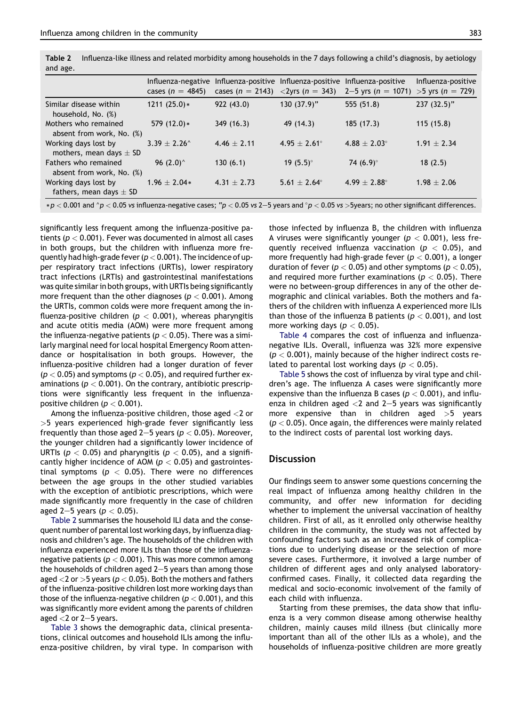Table 2 Influenza-like illness and related morbidity among households in the 7 days following a child's diagnosis, by aetiology and age.

|                                                     | Influenza-negative Influenza-positive Influenza-positive Influenza-positive<br>cases ( $n = 4845$ ) |               |                       | cases (n = 2143) < 2yrs (n = 343) 2-5 yrs (n = 1071) > 5 yrs (n = 729) | Influenza-positive |
|-----------------------------------------------------|-----------------------------------------------------------------------------------------------------|---------------|-----------------------|------------------------------------------------------------------------|--------------------|
| Similar disease within<br>household, No. (%)        | $1211(25.0)*$                                                                                       | 922(43.0)     | $130(37.9)$ "         | 555 (51.8)                                                             | 237(32.5)''        |
| Mothers who remained<br>absent from work, No. (%)   | 579 (12.0) *                                                                                        | 349(16.3)     | 49 (14.3)             | 185(17.3)                                                              | 115(15.8)          |
| Working days lost by<br>mothers, mean days $\pm$ SD | $3.39 + 2.26^{\circ}$                                                                               | $4.46 + 2.11$ | $4.95 + 2.61^{\circ}$ | $4.88 + 2.03^{\circ}$                                                  | $1.91 + 2.34$      |
| Fathers who remained<br>absent from work, No. (%)   | 96 $(2.0)^{\wedge}$                                                                                 | 130(6.1)      | 19 $(5.5)$ °          | 74 $(6.9)^\circ$                                                       | 18(2.5)            |
| Working days lost by<br>fathers, mean days $\pm$ SD | $1.96 \pm 2.04*$                                                                                    | $4.31 + 2.73$ | $5.61 + 2.64^{\circ}$ | $4.99 + 2.88^{\circ}$                                                  | $1.98 + 2.06$      |

 $\ast$   $p$   $<$  0.001 and ^p  $<$  0.05 vs influenza-negative cases; "p  $<$  0.05 vs 2 $-$ 5 years and °p  $<$  0.05 vs  $>$ 5years; no other significant differences.

significantly less frequent among the influenza-positive patients ( $p < 0.001$ ). Fever was documented in almost all cases in both groups, but the children with influenza more frequently had high-grade fever ( $p < 0.001$ ). The incidence of upper respiratory tract infections (URTIs), lower respiratory tract infections (LRTIs) and gastrointestinal manifestations was quite similar in both groups, with URTIs being significantly more frequent than the other diagnoses ( $p < 0.001$ ). Among the URTIs, common colds were more frequent among the influenza-positive children ( $p < 0.001$ ), whereas pharyngitis and acute otitis media (AOM) were more frequent among the influenza-negative patients ( $p < 0.05$ ). There was a similarly marginal need for local hospital Emergency Room attendance or hospitalisation in both groups. However, the influenza-positive children had a longer duration of fever  $(p < 0.05)$  and symptoms ( $p < 0.05$ ), and required further examinations ( $p < 0.001$ ). On the contrary, antibiotic prescriptions were significantly less frequent in the influenzapositive children ( $p < 0.001$ ).

Among the influenza-positive children, those aged <2 or >5 years experienced high-grade fever significantly less frequently than those aged 2–5 years ( $p < 0.05$ ). Moreover, the younger children had a significantly lower incidence of URTIs ( $p < 0.05$ ) and pharyngitis ( $p < 0.05$ ), and a significantly higher incidence of AOM ( $p < 0.05$ ) and gastrointestinal symptoms ( $p < 0.05$ ). There were no differences between the age groups in the other studied variables with the exception of antibiotic prescriptions, which were made significantly more frequently in the case of children aged 2-5 years ( $p < 0.05$ ).

Table 2 summarises the household ILI data and the consequent number of parental lost working days, by influenza diagnosis and children's age. The households of the children with influenza experienced more ILIs than those of the influenzanegative patients ( $p < 0.001$ ). This was more common among the households of children aged  $2-5$  years than among those aged  $<$ 2 or  $>$ 5 years ( $p$   $<$  0.05). Both the mothers and fathers of the influenza-positive children lost more working days than those of the influenza-negative children ( $p < 0.001$ ), and this was significantly more evident among the parents of children aged  $<$ 2 or 2–5 years.

[Table 3](#page-5-0) shows the demographic data, clinical presentations, clinical outcomes and household ILIs among the influenza-positive children, by viral type. In comparison with those infected by influenza B, the children with influenza A viruses were significantly younger ( $p < 0.001$ ), less frequently received influenza vaccination ( $p < 0.05$ ), and more frequently had high-grade fever ( $p < 0.001$ ), a longer duration of fever ( $p < 0.05$ ) and other symptoms ( $p < 0.05$ ), and required more further examinations ( $p < 0.05$ ). There were no between-group differences in any of the other demographic and clinical variables. Both the mothers and fathers of the children with influenza A experienced more ILIs than those of the influenza B patients ( $p < 0.001$ ), and lost more working days ( $p < 0.05$ ).

[Table 4](#page-5-0) compares the cost of influenza and influenzanegative ILIs. Overall, influenza was 32% more expensive  $(p < 0.001)$ , mainly because of the higher indirect costs related to parental lost working days ( $p < 0.05$ ).

[Table 5](#page-6-0) shows the cost of influenza by viral type and children's age. The influenza A cases were significantly more expensive than the influenza B cases ( $p < 0.001$ ), and influenza in children aged  $<$ 2 and 2-5 years was significantly more expensive than in children aged  $>5$  years  $(p < 0.05)$ . Once again, the differences were mainly related to the indirect costs of parental lost working days.

## **Discussion**

Our findings seem to answer some questions concerning the real impact of influenza among healthy children in the community, and offer new information for deciding whether to implement the universal vaccination of healthy children. First of all, as it enrolled only otherwise healthy children in the community, the study was not affected by confounding factors such as an increased risk of complications due to underlying disease or the selection of more severe cases. Furthermore, it involved a large number of children of different ages and only analysed laboratoryconfirmed cases. Finally, it collected data regarding the medical and socio-economic involvement of the family of each child with influenza.

Starting from these premises, the data show that influenza is a very common disease among otherwise healthy children, mainly causes mild illness (but clinically more important than all of the other ILIs as a whole), and the households of influenza-positive children are more greatly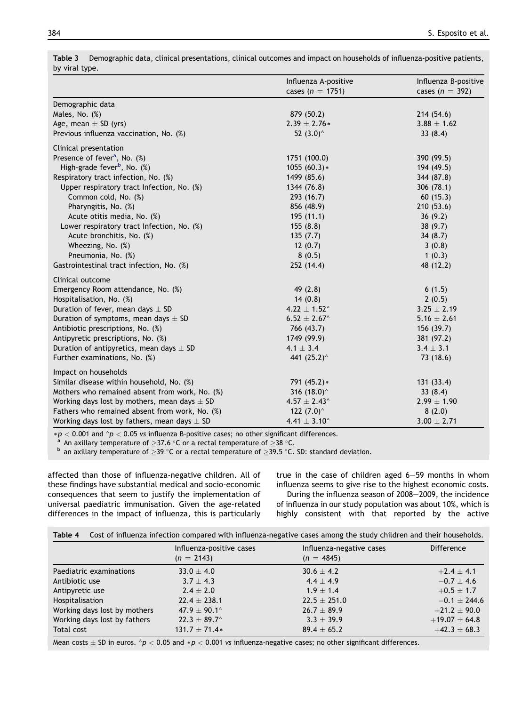|                                                  | Influenza A-positive       | Influenza B-positive |
|--------------------------------------------------|----------------------------|----------------------|
|                                                  | cases ( $n = 1751$ )       | cases ( $n = 392$ )  |
| Demographic data                                 |                            |                      |
| Males, No. (%)                                   | 879 (50.2)                 | 214 (54.6)           |
| Age, mean $\pm$ SD (yrs)                         | $2.39 \pm 2.76*$           | $3.88 \pm 1.62$      |
| Previous influenza vaccination, No. (%)          | 52 $(3.0)^{\wedge}$        | 33(8.4)              |
| Clinical presentation                            |                            |                      |
| Presence of fever <sup>a</sup> , No. (%)         | 1751 (100.0)               | 390 (99.5)           |
| High-grade fever <sup>b</sup> , No. (%)          | $1055(60.3)*$              | 194 (49.5)           |
| Respiratory tract infection, No. (%)             | 1499 (85.6)                | 344 (87.8)           |
| Upper respiratory tract Infection, No. (%)       | 1344 (76.8)                | 306 (78.1)           |
| Common cold, No. (%)                             | 293 (16.7)                 | 60(15.3)             |
| Pharyngitis, No. (%)                             | 856 (48.9)                 | 210 (53.6)           |
| Acute otitis media, No. (%)                      | 195 (11.1)                 | 36(9.2)              |
| Lower respiratory tract Infection, No. (%)       | 155(8.8)                   | 38(9.7)              |
| Acute bronchitis, No. (%)                        | 135(7.7)                   | 34(8.7)              |
| Wheezing, No. (%)                                | 12(0.7)                    | 3(0.8)               |
| Pneumonia, No. (%)                               | 8(0.5)                     | 1(0.3)               |
| Gastrointestinal tract infection, No. (%)        | 252 (14.4)                 | 48 (12.2)            |
| Clinical outcome                                 |                            |                      |
| Emergency Room attendance, No. (%)               | 49 (2.8)                   | 6(1.5)               |
| Hospitalisation, No. (%)                         | 14(0.8)                    | 2(0.5)               |
| Duration of fever, mean days $\pm$ SD            | $4.22 \pm 1.52^{\circ}$    | $3.25 \pm 2.19$      |
| Duration of symptoms, mean days $\pm$ SD         | $6.52 \pm 2.67^{\circ}$    | $5.16 \pm 2.61$      |
| Antibiotic prescriptions, No. (%)                | 766 (43.7)                 | 156 (39.7)           |
| Antipyretic prescriptions, No. (%)               | 1749 (99.9)                | 381 (97.2)           |
| Duration of antipyretics, mean days $\pm$ SD     | 4.1 $\pm$ 3.4              | $3.4 \pm 3.1$        |
| Further examinations, No. (%)                    | 441 $(25.2)^{\wedge}$      | 73 (18.6)            |
| Impact on households                             |                            |                      |
| Similar disease within household, No. (%)        | 791 (45.2)*                | 131(33.4)            |
| Mothers who remained absent from work, No. (%)   | 316 $(18.0)^{\wedge}$      | 33(8.4)              |
| Working days lost by mothers, mean days $\pm$ SD | $4.57 \pm 2.43^{\circ}$    | $2.99 \pm 1.90$      |
| Fathers who remained absent from work, No. (%)   | 122 $(7.0)^{\wedge}$       | 8(2.0)               |
| Working days lost by fathers, mean days $\pm$ SD | 4.41 $\pm$ 3.10 $^{\circ}$ | $3.00 \pm 2.71$      |

<span id="page-5-0"></span>Table 3 Demographic data, clinical presentations, clinical outcomes and impact on households of influenza-positive patients, by viral type.

 $*p < 0.001$  and  $\gamma p < 0.05$  vs influenza B-positive cases; no other significant differences.<br>An axillary temperature of  $\geq 37.6$  °C or a rectal temperature of  $\geq 38$  °C.

 $^{\rm b}$  an axillary temperature of  $\geq$ 39 °C or a rectal temperature of  $\geq$ 39.5 °C. SD: standard deviation.

affected than those of influenza-negative children. All of these findings have substantial medical and socio-economic consequences that seem to justify the implementation of universal paediatric immunisation. Given the age-related differences in the impact of influenza, this is particularly true in the case of children aged  $6-59$  months in whom influenza seems to give rise to the highest economic costs.

During the influenza season of 2008-2009, the incidence of influenza in our study population was about 10%, which is highly consistent with that reported by the active

|                              | Influenza-positive cases<br>$(n = 2143)$ | Influenza-negative cases<br>$(n = 4845)$ | <b>Difference</b> |
|------------------------------|------------------------------------------|------------------------------------------|-------------------|
| Paediatric examinations      | $33.0 \pm 4.0$                           | $30.6 \pm 4.2$                           | $+2.4 \pm 4.1$    |
| Antibiotic use               | $3.7 \pm 4.3$                            | $4.4 \pm 4.9$                            | $-0.7 \pm 4.6$    |
| Antipyretic use              | $2.4 + 2.0$                              | $1.9 + 1.4$                              | $+0.5 \pm 1.7$    |
| Hospitalisation              | $22.4 \pm 238.1$                         | $22.5 \pm 251.0$                         | $-0.1 + 244.6$    |
| Working days lost by mothers | $47.9 + 90.1^{\circ}$                    | $26.7 \pm 89.9$                          | $+21.2 \pm 90.0$  |
| Working days lost by fathers | $22.3 \pm 89.7^{\circ}$                  | $3.3 \pm 39.9$                           | $+19.07 \pm 64.8$ |
| Total cost                   | $131.7 \pm 71.4*$                        | $89.4 \pm 65.2$                          | $+42.3 \pm 68.3$  |

Mean costs  $\pm$  SD in euros.  $\hat{p}$   $<$  0.05 and  $\ast$   $p$   $<$  0.001 vs influenza-negative cases; no other significant differences.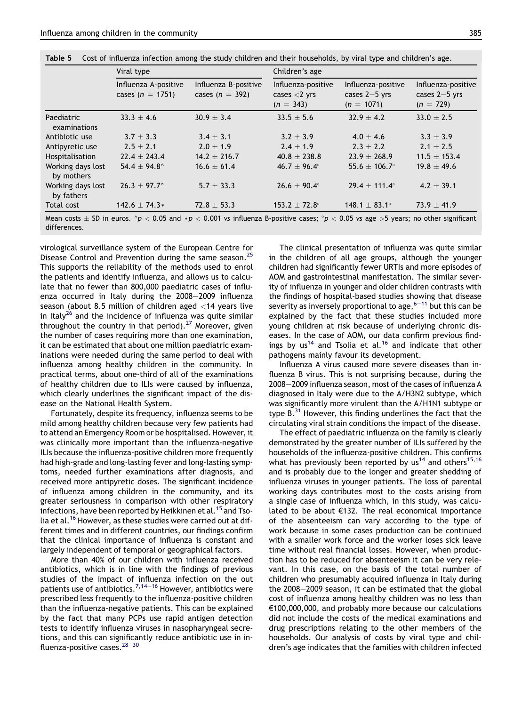<span id="page-6-0"></span>Table 5 Cost of influenza infection among the study children and their households, by viral type and children's age.

|                                 | Viral type                                   |                                           | Children's age                                       |                                                       |                                                      |
|---------------------------------|----------------------------------------------|-------------------------------------------|------------------------------------------------------|-------------------------------------------------------|------------------------------------------------------|
|                                 | Influenza A-positive<br>cases ( $n = 1751$ ) | Influenza B-positive<br>cases $(n = 392)$ | Influenza-positive<br>cases $<$ 2 yrs<br>$(n = 343)$ | Influenza-positive<br>cases $2-5$ yrs<br>$(n = 1071)$ | Influenza-positive<br>cases $2-5$ yrs<br>$(n = 729)$ |
| Paediatric<br>examinations      | $33.3 \pm 4.6$                               | $30.9 \pm 3.4$                            | $33.5 \pm 5.6$                                       | $32.9 \pm 4.2$                                        | $33.0 \pm 2.5$                                       |
| Antibiotic use                  | $3.7 \pm 3.3$                                | $3.4 + 3.1$                               | $3.2 + 3.9$                                          | $4.0 + 4.6$                                           | $3.3 + 3.9$                                          |
| Antipyretic use                 | $2.5 \pm 2.1$                                | $2.0 \pm 1.9$                             | $2.4 \pm 1.9$                                        | $2.3 \pm 2.2$                                         | $2.1 \pm 2.5$                                        |
| Hospitalisation                 | $22.4 \pm 243.4$                             | $14.2 + 216.7$                            | $40.8 + 238.8$                                       | $23.9 + 268.9$                                        | $11.5 \pm 153.4$                                     |
| Working days lost<br>by mothers | 54.4 $\pm$ 94.8 $^{\circ}$                   | $16.6 \pm 61.4$                           | $46.7 + 96.4^{\circ}$                                | 55.6 $+$ 106.7°                                       | $19.8 \pm 49.6$                                      |
| Working days lost<br>by fathers | $26.3 \pm 97.7^{\circ}$                      | $5.7 \pm 33.3$                            | $26.6 \pm 90.4^{\circ}$                              | $29.4 + 111.4^{\circ}$                                | $4.2 \pm 39.1$                                       |
| Total cost                      | $142.6 + 74.3*$                              | $72.8 \pm 53.3$                           | $153.2 + 72.8^{\circ}$                               | $148.1 + 83.1^{\circ}$                                | $73.9 + 41.9$                                        |

Mean costs  $\pm$  SD in euros. ^p  $<$  0.05 and  $*p <$  0.001 vs influenza B-positive cases;  $^{\circ}$  $\mathit{p} < 0.05$  vs age  $>$ 5 years; no other significant differences.

virological surveillance system of the European Centre for Disease Control and Prevention during the same season.<sup>[25](#page-8-0)</sup> This supports the reliability of the methods used to enrol the patients and identify influenza, and allows us to calculate that no fewer than 800,000 paediatric cases of influenza occurred in Italy during the  $2008-2009$  influenza season (about 8.5 million of children aged <14 years live in Italy<sup>26</sup> and the incidence of influenza was quite similar throughout the country in that period).<sup>[27](#page-8-0)</sup> Moreover, given the number of cases requiring more than one examination, it can be estimated that about one million paediatric examinations were needed during the same period to deal with influenza among healthy children in the community. In practical terms, about one-third of all of the examinations of healthy children due to ILIs were caused by influenza, which clearly underlines the significant impact of the disease on the National Health System.

Fortunately, despite its frequency, influenza seems to be mild among healthy children because very few patients had to attend an Emergency Room or be hospitalised. However, it was clinically more important than the influenza-negative ILIs because the influenza-positive children more frequently had high-grade and long-lasting fever and long-lasting symptoms, needed further examinations after diagnosis, and received more antipyretic doses. The significant incidence of influenza among children in the community, and its greater seriousness in comparison with other respiratory infections, have been reported by Heikkinen et al.<sup>[15](#page-7-0)</sup> and Tso-lia et al.<sup>[16](#page-7-0)</sup> However, as these studies were carried out at different times and in different countries, our findings confirm that the clinical importance of influenza is constant and largely independent of temporal or geographical factors.

More than 40% of our children with influenza received antibiotics, which is in line with the findings of previous studies of the impact of influenza infection on the out<br>patients use of antibiotics.<sup>[7,14](#page-7-0)–[16](#page-7-0)</sup> However, antibiotics were prescribed less frequently to the influenza-positive children than the influenza-negative patients. This can be explained by the fact that many PCPs use rapid antigen detection tests to identify influenza viruses in nasopharyngeal secretions, and this can significantly reduce antibiotic use in influenza-positive cases.  $28-30$  $28-30$ 

The clinical presentation of influenza was quite similar in the children of all age groups, although the younger children had significantly fewer URTIs and more episodes of AOM and gastrointestinal manifestation. The similar severity of influenza in younger and older children contrasts with the findings of hospital-based studies showing that disease severity as inversely proportional to age,  $6-11$  $6-11$  $6-11$  but this can be explained by the fact that these studies included more young children at risk because of underlying chronic diseases. In the case of AOM, our data confirm previous find-ings by us<sup>[14](#page-7-0)</sup> and Tsolia et al.<sup>[16](#page-7-0)</sup> and indicate that other pathogens mainly favour its development.

Influenza A virus caused more severe diseases than influenza B virus. This is not surprising because, during the 2008-2009 influenza season, most of the cases of influenza A diagnosed in Italy were due to the A/H3N2 subtype, which was significantly more virulent than the A/H1N1 subtype or type  $B^{31}$  However, this finding underlines the fact that the circulating viral strain conditions the impact of the disease.

The effect of paediatric influenza on the family is clearly demonstrated by the greater number of ILIs suffered by the households of the influenza-positive children. This confirms what has previously been reported by  $us^{14}$  $us^{14}$  $us^{14}$  and others<sup>[15,16](#page-7-0)</sup> and is probably due to the longer and greater shedding of influenza viruses in younger patients. The loss of parental working days contributes most to the costs arising from a single case of influenza which, in this study, was calculated to be about €132. The real economical importance of the absenteeism can vary according to the type of work because in some cases production can be continued with a smaller work force and the worker loses sick leave time without real financial losses. However, when production has to be reduced for absenteeism it can be very relevant. In this case, on the basis of the total number of children who presumably acquired influenza in Italy during the  $2008-2009$  season, it can be estimated that the global cost of influenza among healthy children was no less than €100,000,000, and probably more because our calculations did not include the costs of the medical examinations and drug prescriptions relating to the other members of the households. Our analysis of costs by viral type and children's age indicates that the families with children infected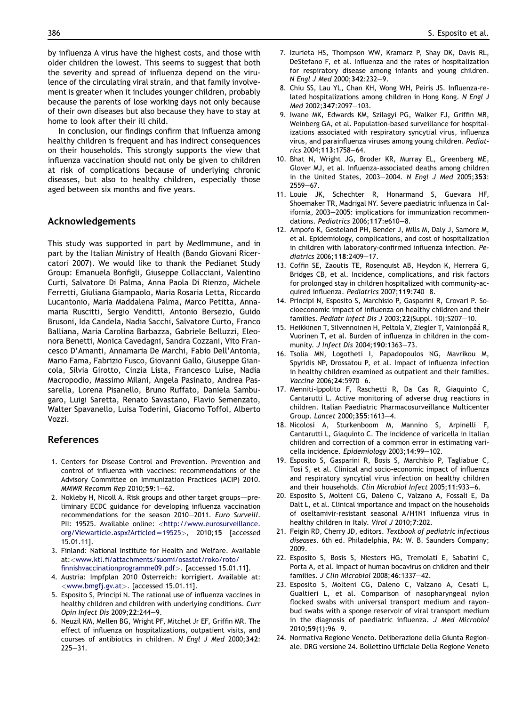<span id="page-7-0"></span>by influenza A virus have the highest costs, and those with older children the lowest. This seems to suggest that both the severity and spread of influenza depend on the virulence of the circulating viral strain, and that family involvement is greater when it includes younger children, probably because the parents of lose working days not only because of their own diseases but also because they have to stay at home to look after their ill child.

In conclusion, our findings confirm that influenza among healthy children is frequent and has indirect consequences on their households. This strongly supports the view that influenza vaccination should not only be given to children at risk of complications because of underlying chronic diseases, but also to healthy children, especially those aged between six months and five years.

## Acknowledgements

This study was supported in part by MedImmune, and in part by the Italian Ministry of Health (Bando Giovani Ricercatori 2007). We would like to thank the Pedianet Study Group: Emanuela Bonfigli, Giuseppe Collacciani, Valentino Curti, Salvatore Di Palma, Anna Paola Di Rienzo, Michele Ferretti, Giuliana Giampaolo, Maria Rosaria Letta, Riccardo Lucantonio, Maria Maddalena Palma, Marco Petitta, Annamaria Ruscitti, Sergio Venditti, Antonio Bersezio, Guido Brusoni, Ida Candela, Nadia Sacchi, Salvatore Curto, Franco Balliana, Maria Carolina Barbazza, Gabriele Belluzzi, Eleonora Benetti, Monica Cavedagni, Sandra Cozzani, Vito Francesco D'Amanti, Annamaria De Marchi, Fabio Dell'Antonia, Mario Fama, Fabrizio Fusco, Giovanni Gallo, Giuseppe Giancola, Silvia Girotto, Cinzia Lista, Francesco Luise, Nadia Macropodio, Massimo Milani, Angela Pasinato, Andrea Passarella, Lorena Pisanello, Bruno Ruffato, Daniela Sambugaro, Luigi Saretta, Renato Savastano, Flavio Semenzato, Walter Spavanello, Luisa Toderini, Giacomo Toffol, Alberto Vozzi.

# References

- 1. Centers for Disease Control and Prevention. Prevention and control of influenza with vaccines: recommendations of the Advisory Committee on Immunization Practices (ACIP) 2010. MMWR Recomm Rep 2010;59:1-62.
- 2. Nokleby H, Nicoll A. Risk groups and other target groups-preliminary ECDC guidance for developing influenza vaccination recommendations for the season 2010-2011. Euro Surveill. PII: 19525. Available online: <[http://www.eurosurveillance.](http://www.eurosurveillance.org/Viewarticle.aspx?Articled=19525) [org/Viewarticle.aspx?Articled](http://www.eurosurveillance.org/Viewarticle.aspx?Articled=19525)=19525>, 2010;15 [accessed 15.01.11].
- 3. Finland: National Institute for Health and Welfare. Available at:<[www.ktl.fi/attachments/suomi/osastot/roko/roto/](http://www.ktl.fi/attachments/suomi/osastot/roko/roto/finnishvaccinationprogramme09.pdf) [finnishvaccinationprogramme09.pdf](http://www.ktl.fi/attachments/suomi/osastot/roko/roto/finnishvaccinationprogramme09.pdf)>. [accessed 15.01.11].
- 4. Austria: Impfplan 2010 Österreich: korrigiert. Available at: <[www.bmgfj.gv.at](http://www.bmgfj.gv.at)>. [accessed 15.01.11].
- 5. Esposito S, Principi N. The rational use of influenza vaccines in healthy children and children with underlying conditions. Curr Opin Infect Dis 2009; 22:244-9.
- 6. Neuzil KM, Mellen BG, Wright PF, Mitchel Jr EF, Griffin MR. The effect of influenza on hospitalizations, outpatient visits, and courses of antibiotics in children. N Engl J Med 2000;342:  $225 - 31.$
- 7. Izurieta HS, Thompson WW, Kramarz P, Shay DK, Davis RL, DeStefano F, et al. Influenza and the rates of hospitalization for respiratory disease among infants and young children. N Engl J Med 2000; 342: 232-9.
- 8. Chiu SS, Lau YL, Chan KH, Wong WH, Peiris JS. Influenza-related hospitalizations among children in Hong Kong. N Engl J Med 2002;347:2097-103.
- 9. Iwane MK, Edwards KM, Szilagyi PG, Walker FJ, Griffin MR, Weinberg GA, et al. Population-based surveillance for hospitalizations associated with respiratory syncytial virus, influenza virus, and parainfluenza viruses among young children. Pediatrics 2004;113:1758-64.
- 10. Bhat N, Wright JG, Broder KR, Murray EL, Greenberg ME, Glover MJ, et al. Influenza-associated deaths among children in the United States, 2003-2004. N Engl J Med 2005;353:  $2559 - 67$ .
- 11. Louie JK, Schechter R, Honarmand S, Guevara HF, Shoemaker TR, Madrigal NY. Severe paediatric influenza in California. 2003-2005: implications for immunization recommendations. Pediatrics  $2006; 117: e610-8$ .
- 12. Ampofo K, Gesteland PH, Bender J, Mills M, Daly J, Samore M, et al. Epidemiology, complications, and cost of hospitalization in children with laboratory-confirmed influenza infection. Pediatrics 2006;118:2409-17.
- 13. Coffin SE, Zaoutis TE, Rosenquist AB, Heydon K, Herrera G, Bridges CB, et al. Incidence, complications, and risk factors for prolonged stay in children hospitalized with community-acquired influenza. Pediatrics 2007;119:740-8.
- 14. Principi N, Esposito S, Marchisio P, Gasparini R, Crovari P. Socioeconomic impact of influenza on healthy children and their families. Pediatr Infect Dis J 2003;22(Suppl. 10):S207-10.
- 15. Heikkinen T, Silvennoinen H, Peltola V, Ziegler T, Vainionpää R, Vuorinen T, et al. Burden of influenza in children in the community. J Infect Dis 2004;190:1363-73.
- 16. Tsolia MN, Logotheti I, Papadopoulos NG, Mavrikou M, Spyridis NP, Drossatou P, et al. Impact of influenza infection in healthy children examined as outpatient and their families. Vaccine 2006; 24: 5970-6.
- 17. Menniti-Ippolito F, Raschetti R, Da Cas R, Giaquinto C, Cantarutti L. Active monitoring of adverse drug reactions in children. Italian Paediatric Pharmacosurveillance Multicenter Group. Lancet 2000;355:1613-4.
- 18. Nicolosi A, Sturkenboom M, Mannino S, Arpinelli F, Cantarutti L, Giaquinto C. The incidence of varicella in Italian children and correction of a common error in estimating varicella incidence. Epidemiology 2003;14:99-102.
- 19. Esposito S, Gasparini R, Bosis S, Marchisio P, Tagliabue C, Tosi S, et al. Clinical and socio-economic impact of influenza and respiratory syncytial virus infection on healthy children and their households. Clin Microbiol Infect 2005;11:933-6.
- 20. Esposito S, Molteni CG, Daleno C, Valzano A, Fossali E, Da Dalt L, et al. Clinical importance and impact on the households of oseltamivir-resistant seasonal A/H1N1 influenza virus in healthy children in Italy. Virol J 2010;7:202.
- 21. Feigin RD, Cherry JD, editors. Textbook of pediatric infectious diseases. 6th ed. Philadelphia, PA: W. B. Saunders Company; 2009.
- 22. Esposito S, Bosis S, Niesters HG, Tremolati E, Sabatini C, Porta A, et al. Impact of human bocavirus on children and their families. J Clin Microbiol 2008;46:1337-42.
- 23. Esposito S, Molteni CG, Daleno C, Valzano A, Cesati L, Gualtieri L, et al. Comparison of nasopharyngeal nylon flocked swabs with universal transport medium and rayonbud swabs with a sponge reservoir of viral transport medium in the diagnosis of paediatric influenza. J Med Microbiol  $2010;59(1):96-9.$
- 24. Normativa Regione Veneto. Deliberazione della Giunta Regionale. DRG versione 24. Bollettino Ufficiale Della Regione Veneto